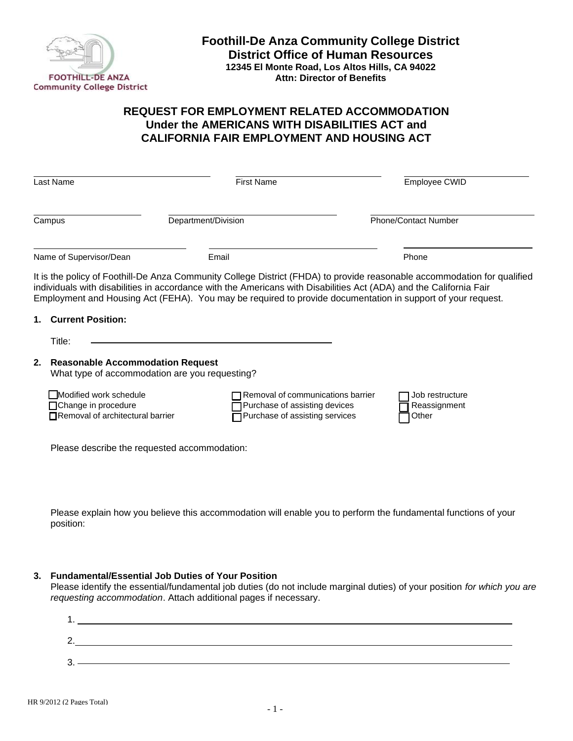

## **REQUEST FOR EMPLOYMENT RELATED ACCOMMODATION Under the AMERICANS WITH DISABILITIES ACT and CALIFORNIA FAIR EMPLOYMENT AND HOUSING ACT**

|    | Last Name                                                                                 | <b>First Name</b>                                                                                    | Employee CWID                                                                                                                                                                                                                                                                                                                                                 |  |
|----|-------------------------------------------------------------------------------------------|------------------------------------------------------------------------------------------------------|---------------------------------------------------------------------------------------------------------------------------------------------------------------------------------------------------------------------------------------------------------------------------------------------------------------------------------------------------------------|--|
|    | Campus                                                                                    | Department/Division                                                                                  | <b>Phone/Contact Number</b>                                                                                                                                                                                                                                                                                                                                   |  |
|    | Name of Supervisor/Dean                                                                   | Email                                                                                                | Phone                                                                                                                                                                                                                                                                                                                                                         |  |
|    | <b>Current Position:</b><br>Title:                                                        |                                                                                                      | It is the policy of Foothill-De Anza Community College District (FHDA) to provide reasonable accommodation for qualified<br>individuals with disabilities in accordance with the Americans with Disabilities Act (ADA) and the California Fair<br>Employment and Housing Act (FEHA). You may be required to provide documentation in support of your request. |  |
| 2. | <b>Reasonable Accommodation Request</b><br>What type of accommodation are you requesting? |                                                                                                      |                                                                                                                                                                                                                                                                                                                                                               |  |
|    | Modified work schedule<br>□Change in procedure<br>Removal of architectural barrier        | Removal of communications barrier<br>Purchase of assisting devices<br>Purchase of assisting services | Job restructure<br>Reassignment<br>Other                                                                                                                                                                                                                                                                                                                      |  |
|    | Please describe the requested accommodation:                                              |                                                                                                      |                                                                                                                                                                                                                                                                                                                                                               |  |

Please explain how you believe this accommodation will enable you to perform the fundamental functions of your position:

## **3. Fundamental/Essential Job Duties of Your Position**

Please identify the essential/fundamental job duties (do not include marginal duties) of your position *for which you are requesting accommodation*. Attach additional pages if necessary.

| c<br><u>_</u> |  |
|---------------|--|
|               |  |
| ົ<br>J.       |  |